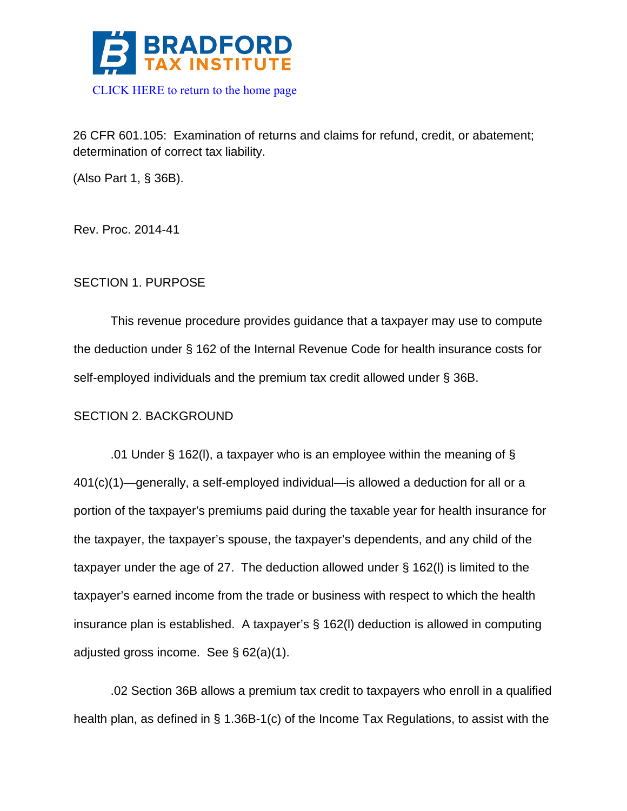

26 CFR 601.105: Examination of returns and claims for refund, credit, or abatement; determination of correct tax liability.

(Also Part 1, § 36B).

Rev. Proc. 2014-41

# SECTION 1. PURPOSE

This revenue procedure provides guidance that a taxpayer may use to compute the deduction under § 162 of the Internal Revenue Code for health insurance costs for self-employed individuals and the premium tax credit allowed under § 36B.

# SECTION 2. BACKGROUND

.01 Under § 162(I), a taxpayer who is an employee within the meaning of § 401(c)(1)—generally, a self-employed individual—is allowed a deduction for all or a portion of the taxpayer's premiums paid during the taxable year for health insurance for the taxpayer, the taxpayer's spouse, the taxpayer's dependents, and any child of the taxpayer under the age of 27. The deduction allowed under § 162(l) is limited to the taxpayer's earned income from the trade or business with respect to which the health insurance plan is established. A taxpayer's § 162(l) deduction is allowed in computing adjusted gross income. See § 62(a)(1).

.02 Section 36B allows a premium tax credit to taxpayers who enroll in a qualified health plan, as defined in § 1.36B-1(c) of the Income Tax Regulations, to assist with the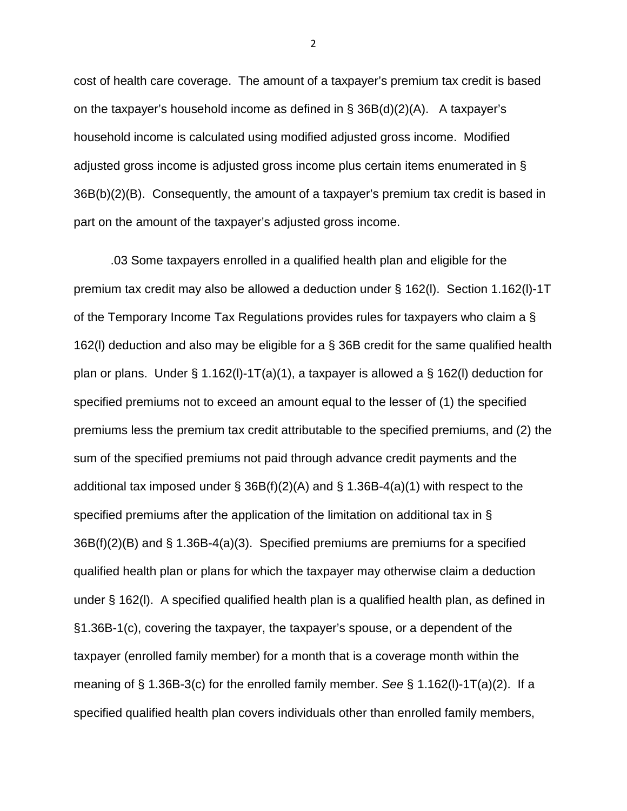cost of health care coverage. The amount of a taxpayer's premium tax credit is based on the taxpayer's household income as defined in § 36B(d)(2)(A). A taxpayer's household income is calculated using modified adjusted gross income. Modified adjusted gross income is adjusted gross income plus certain items enumerated in § 36B(b)(2)(B). Consequently, the amount of a taxpayer's premium tax credit is based in part on the amount of the taxpayer's adjusted gross income.

.03 Some taxpayers enrolled in a qualified health plan and eligible for the premium tax credit may also be allowed a deduction under § 162(l). Section 1.162(l)-1T of the Temporary Income Tax Regulations provides rules for taxpayers who claim a § 162(l) deduction and also may be eligible for a § 36B credit for the same qualified health plan or plans. Under  $\S 1.162(1)-1T(a)(1)$ , a taxpayer is allowed a  $\S 162(1)$  deduction for specified premiums not to exceed an amount equal to the lesser of (1) the specified premiums less the premium tax credit attributable to the specified premiums, and (2) the sum of the specified premiums not paid through advance credit payments and the additional tax imposed under  $\S$  36B(f)(2)(A) and  $\S$  1.36B-4(a)(1) with respect to the specified premiums after the application of the limitation on additional tax in § 36B(f)(2)(B) and § 1.36B-4(a)(3). Specified premiums are premiums for a specified qualified health plan or plans for which the taxpayer may otherwise claim a deduction under § 162(l). A specified qualified health plan is a qualified health plan, as defined in §1.36B-1(c), covering the taxpayer, the taxpayer's spouse, or a dependent of the taxpayer (enrolled family member) for a month that is a coverage month within the meaning of § 1.36B-3(c) for the enrolled family member. *See* § 1.162(l)-1T(a)(2). If a specified qualified health plan covers individuals other than enrolled family members,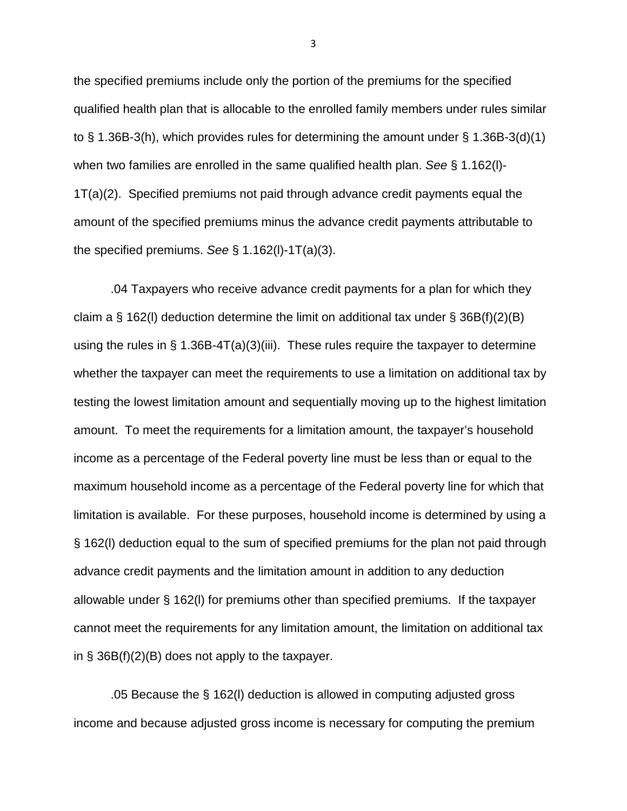the specified premiums include only the portion of the premiums for the specified qualified health plan that is allocable to the enrolled family members under rules similar to § 1.36B-3(h), which provides rules for determining the amount under § 1.36B-3(d)(1) when two families are enrolled in the same qualified health plan. *See* § 1.162(l)- 1T(a)(2). Specified premiums not paid through advance credit payments equal the amount of the specified premiums minus the advance credit payments attributable to the specified premiums. *See* § 1.162(l)-1T(a)(3).

.04 Taxpayers who receive advance credit payments for a plan for which they claim a § 162(I) deduction determine the limit on additional tax under § 36B(f)(2)(B) using the rules in  $\S$  1.36B-4T(a)(3)(iii). These rules require the taxpayer to determine whether the taxpayer can meet the requirements to use a limitation on additional tax by testing the lowest limitation amount and sequentially moving up to the highest limitation amount. To meet the requirements for a limitation amount, the taxpayer's household income as a percentage of the Federal poverty line must be less than or equal to the maximum household income as a percentage of the Federal poverty line for which that limitation is available. For these purposes, household income is determined by using a § 162(l) deduction equal to the sum of specified premiums for the plan not paid through advance credit payments and the limitation amount in addition to any deduction allowable under § 162(l) for premiums other than specified premiums. If the taxpayer cannot meet the requirements for any limitation amount, the limitation on additional tax in  $\S$  36B(f)(2)(B) does not apply to the taxpayer.

.05 Because the § 162(l) deduction is allowed in computing adjusted gross income and because adjusted gross income is necessary for computing the premium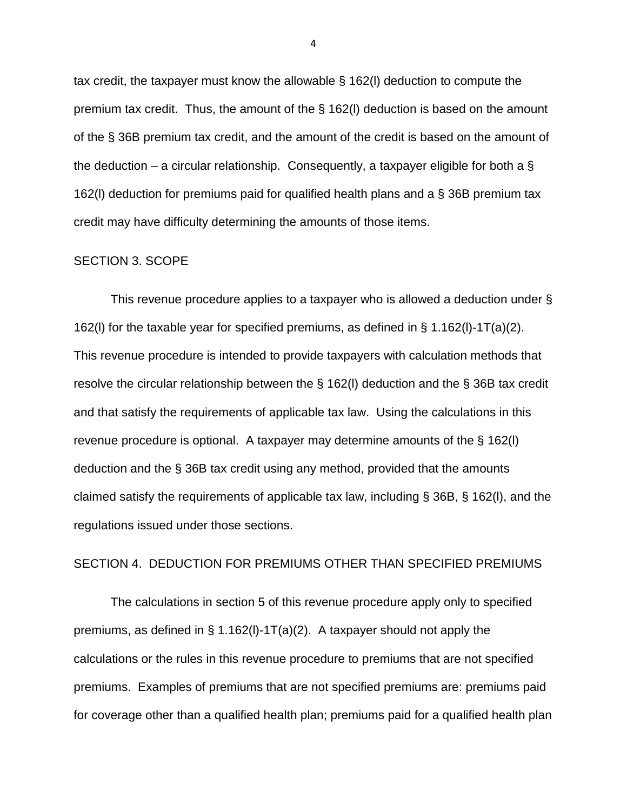tax credit, the taxpayer must know the allowable § 162(l) deduction to compute the premium tax credit. Thus, the amount of the § 162(l) deduction is based on the amount of the § 36B premium tax credit, and the amount of the credit is based on the amount of the deduction – a circular relationship. Consequently, a taxpayer eligible for both a  $\S$ 162(l) deduction for premiums paid for qualified health plans and a § 36B premium tax credit may have difficulty determining the amounts of those items.

#### SECTION 3. SCOPE

This revenue procedure applies to a taxpayer who is allowed a deduction under § 162(l) for the taxable year for specified premiums, as defined in § 1.162(l)-1T(a)(2). This revenue procedure is intended to provide taxpayers with calculation methods that resolve the circular relationship between the § 162(l) deduction and the § 36B tax credit and that satisfy the requirements of applicable tax law. Using the calculations in this revenue procedure is optional. A taxpayer may determine amounts of the § 162(l) deduction and the § 36B tax credit using any method, provided that the amounts claimed satisfy the requirements of applicable tax law, including § 36B, § 162(l), and the regulations issued under those sections.

### SECTION 4. DEDUCTION FOR PREMIUMS OTHER THAN SPECIFIED PREMIUMS

The calculations in section 5 of this revenue procedure apply only to specified premiums, as defined in  $\S$  1.162(I)-1T(a)(2). A taxpayer should not apply the calculations or the rules in this revenue procedure to premiums that are not specified premiums. Examples of premiums that are not specified premiums are: premiums paid for coverage other than a qualified health plan; premiums paid for a qualified health plan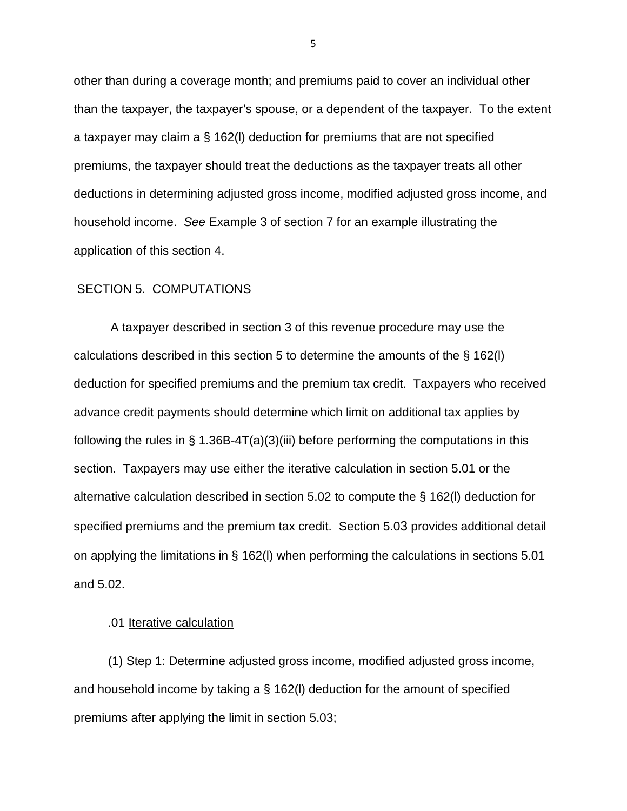other than during a coverage month; and premiums paid to cover an individual other than the taxpayer, the taxpayer's spouse, or a dependent of the taxpayer. To the extent a taxpayer may claim a § 162(l) deduction for premiums that are not specified premiums, the taxpayer should treat the deductions as the taxpayer treats all other deductions in determining adjusted gross income, modified adjusted gross income, and household income. *See* Example 3 of section 7 for an example illustrating the application of this section 4.

### SECTION 5. COMPUTATIONS

A taxpayer described in section 3 of this revenue procedure may use the calculations described in this section 5 to determine the amounts of the § 162(l) deduction for specified premiums and the premium tax credit. Taxpayers who received advance credit payments should determine which limit on additional tax applies by following the rules in  $\S$  1.36B-4T(a)(3)(iii) before performing the computations in this section. Taxpayers may use either the iterative calculation in section 5.01 or the alternative calculation described in section 5.02 to compute the § 162(l) deduction for specified premiums and the premium tax credit. Section 5.03 provides additional detail on applying the limitations in § 162(l) when performing the calculations in sections 5.01 and 5.02.

#### .01 Iterative calculation

 (1) Step 1: Determine adjusted gross income, modified adjusted gross income, and household income by taking a § 162(l) deduction for the amount of specified premiums after applying the limit in section 5.03;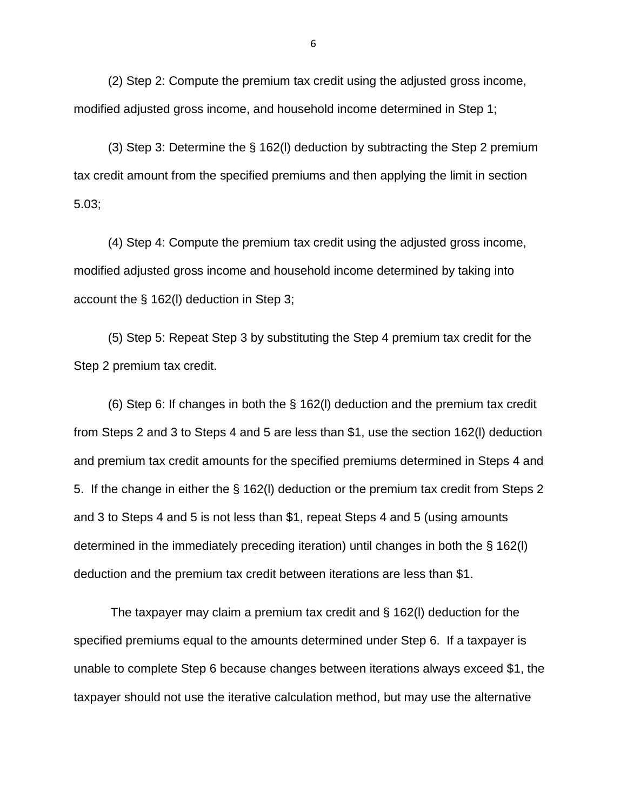(2) Step 2: Compute the premium tax credit using the adjusted gross income, modified adjusted gross income, and household income determined in Step 1;

 (3) Step 3: Determine the § 162(l) deduction by subtracting the Step 2 premium tax credit amount from the specified premiums and then applying the limit in section 5.03;

 (4) Step 4: Compute the premium tax credit using the adjusted gross income, modified adjusted gross income and household income determined by taking into account the § 162(l) deduction in Step 3;

 (5) Step 5: Repeat Step 3 by substituting the Step 4 premium tax credit for the Step 2 premium tax credit.

 (6) Step 6: If changes in both the § 162(l) deduction and the premium tax credit from Steps 2 and 3 to Steps 4 and 5 are less than \$1, use the section 162(l) deduction and premium tax credit amounts for the specified premiums determined in Steps 4 and 5. If the change in either the § 162(l) deduction or the premium tax credit from Steps 2 and 3 to Steps 4 and 5 is not less than \$1, repeat Steps 4 and 5 (using amounts determined in the immediately preceding iteration) until changes in both the § 162(l) deduction and the premium tax credit between iterations are less than \$1.

The taxpayer may claim a premium tax credit and § 162(l) deduction for the specified premiums equal to the amounts determined under Step 6. If a taxpayer is unable to complete Step 6 because changes between iterations always exceed \$1, the taxpayer should not use the iterative calculation method, but may use the alternative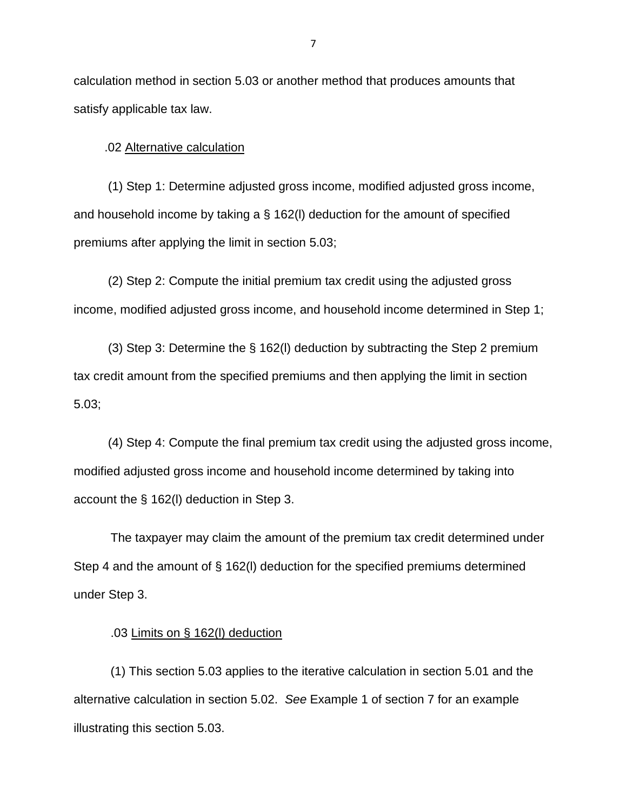calculation method in section 5.03 or another method that produces amounts that satisfy applicable tax law.

.02 Alternative calculation

 (1) Step 1: Determine adjusted gross income, modified adjusted gross income, and household income by taking a § 162(l) deduction for the amount of specified premiums after applying the limit in section 5.03;

 (2) Step 2: Compute the initial premium tax credit using the adjusted gross income, modified adjusted gross income, and household income determined in Step 1;

 (3) Step 3: Determine the § 162(l) deduction by subtracting the Step 2 premium tax credit amount from the specified premiums and then applying the limit in section 5.03;

 (4) Step 4: Compute the final premium tax credit using the adjusted gross income, modified adjusted gross income and household income determined by taking into account the § 162(l) deduction in Step 3.

The taxpayer may claim the amount of the premium tax credit determined under Step 4 and the amount of § 162(l) deduction for the specified premiums determined under Step 3.

### .03 Limits on § 162(l) deduction

(1) This section 5.03 applies to the iterative calculation in section 5.01 and the alternative calculation in section 5.02. *See* Example 1 of section 7 for an example illustrating this section 5.03.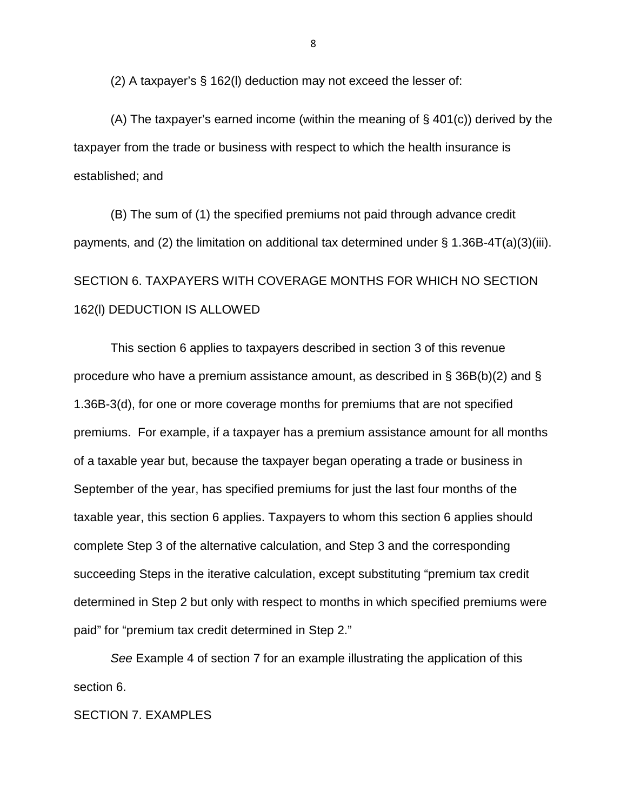(2) A taxpayer's § 162(l) deduction may not exceed the lesser of:

(A) The taxpayer's earned income (within the meaning of § 401(c)) derived by the taxpayer from the trade or business with respect to which the health insurance is established; and

(B) The sum of (1) the specified premiums not paid through advance credit payments, and (2) the limitation on additional tax determined under § 1.36B-4T(a)(3)(iii). SECTION 6. TAXPAYERS WITH COVERAGE MONTHS FOR WHICH NO SECTION 162(l) DEDUCTION IS ALLOWED

This section 6 applies to taxpayers described in section 3 of this revenue procedure who have a premium assistance amount, as described in § 36B(b)(2) and § 1.36B-3(d), for one or more coverage months for premiums that are not specified premiums. For example, if a taxpayer has a premium assistance amount for all months of a taxable year but, because the taxpayer began operating a trade or business in September of the year, has specified premiums for just the last four months of the taxable year, this section 6 applies. Taxpayers to whom this section 6 applies should complete Step 3 of the alternative calculation, and Step 3 and the corresponding succeeding Steps in the iterative calculation, except substituting "premium tax credit determined in Step 2 but only with respect to months in which specified premiums were paid" for "premium tax credit determined in Step 2."

*See* Example 4 of section 7 for an example illustrating the application of this section 6.

SECTION 7. EXAMPLES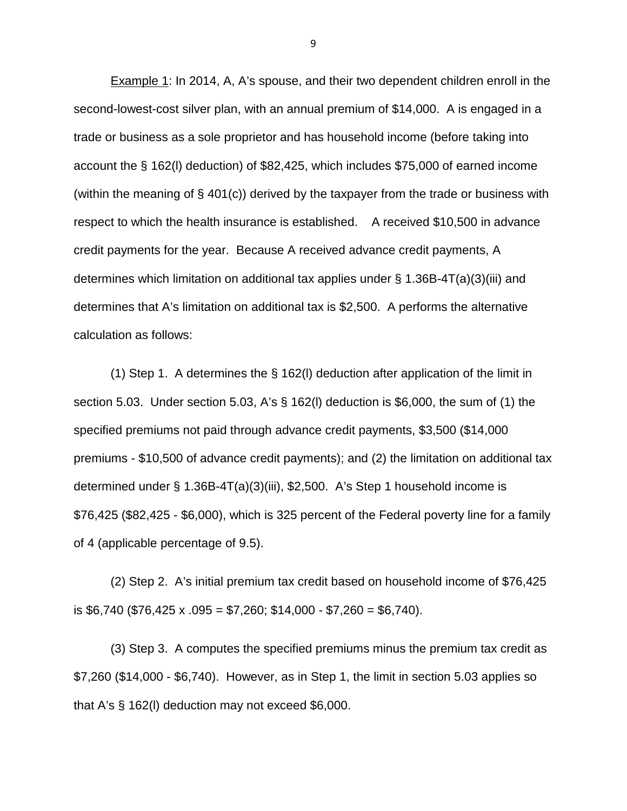Example 1: In 2014, A, A's spouse, and their two dependent children enroll in the second-lowest-cost silver plan, with an annual premium of \$14,000. A is engaged in a trade or business as a sole proprietor and has household income (before taking into account the § 162(l) deduction) of \$82,425, which includes \$75,000 of earned income (within the meaning of § 401(c)) derived by the taxpayer from the trade or business with respect to which the health insurance is established. A received \$10,500 in advance credit payments for the year. Because A received advance credit payments, A determines which limitation on additional tax applies under § 1.36B-4T(a)(3)(iii) and determines that A's limitation on additional tax is \$2,500. A performs the alternative calculation as follows:

(1) Step 1. A determines the § 162(l) deduction after application of the limit in section 5.03. Under section 5.03, A's § 162(l) deduction is \$6,000, the sum of (1) the specified premiums not paid through advance credit payments, \$3,500 (\$14,000 premiums - \$10,500 of advance credit payments); and (2) the limitation on additional tax determined under § 1.36B-4T(a)(3)(iii), \$2,500. A's Step 1 household income is \$76,425 (\$82,425 - \$6,000), which is 325 percent of the Federal poverty line for a family of 4 (applicable percentage of 9.5).

(2) Step 2. A's initial premium tax credit based on household income of \$76,425 is \$6,740 (\$76,425 x .095 = \$7,260; \$14,000 - \$7,260 = \$6,740).

(3) Step 3. A computes the specified premiums minus the premium tax credit as \$7,260 (\$14,000 - \$6,740). However, as in Step 1, the limit in section 5.03 applies so that A's § 162(l) deduction may not exceed \$6,000.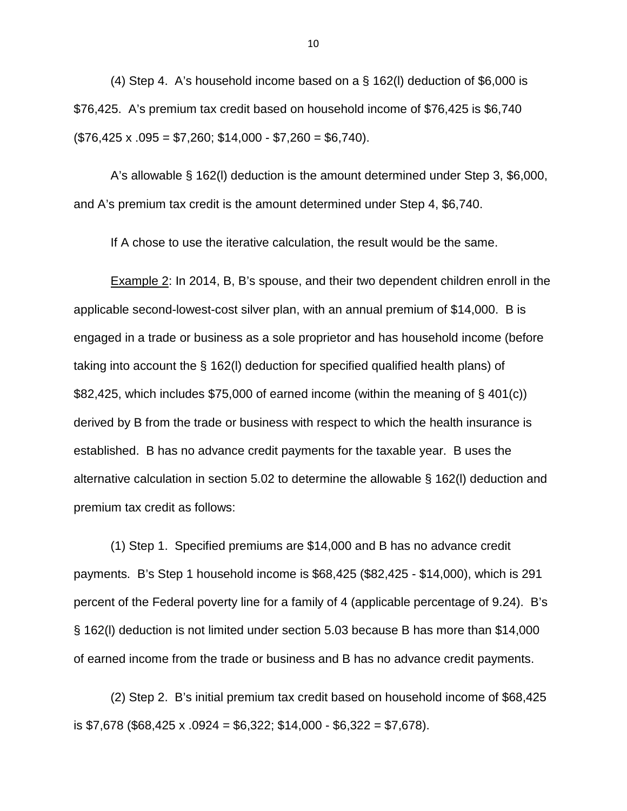(4) Step 4. A's household income based on a § 162(l) deduction of \$6,000 is \$76,425. A's premium tax credit based on household income of \$76,425 is \$6,740  $($76,425 \times .095 = $7,260; $14,000 - $7,260 = $6,740).$ 

A's allowable § 162(l) deduction is the amount determined under Step 3, \$6,000, and A's premium tax credit is the amount determined under Step 4, \$6,740.

If A chose to use the iterative calculation, the result would be the same.

Example 2: In 2014, B, B's spouse, and their two dependent children enroll in the applicable second-lowest-cost silver plan, with an annual premium of \$14,000. B is engaged in a trade or business as a sole proprietor and has household income (before taking into account the § 162(l) deduction for specified qualified health plans) of \$82,425, which includes \$75,000 of earned income (within the meaning of § 401(c)) derived by B from the trade or business with respect to which the health insurance is established. B has no advance credit payments for the taxable year. B uses the alternative calculation in section 5.02 to determine the allowable § 162(l) deduction and premium tax credit as follows:

(1) Step 1. Specified premiums are \$14,000 and B has no advance credit payments. B's Step 1 household income is \$68,425 (\$82,425 - \$14,000), which is 291 percent of the Federal poverty line for a family of 4 (applicable percentage of 9.24). B's § 162(l) deduction is not limited under section 5.03 because B has more than \$14,000 of earned income from the trade or business and B has no advance credit payments.

(2) Step 2. B's initial premium tax credit based on household income of \$68,425 is \$7,678 (\$68,425 x .0924 = \$6,322; \$14,000 - \$6,322 = \$7,678).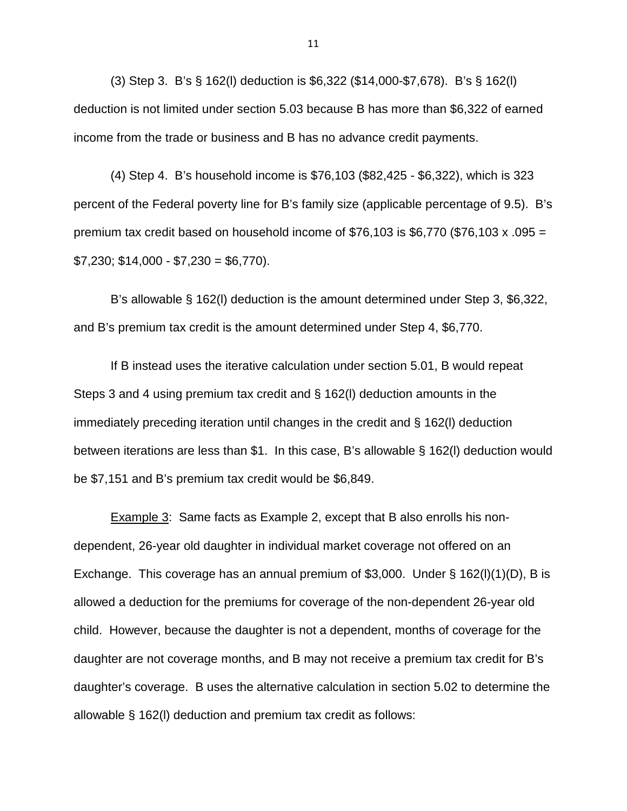(3) Step 3. B's § 162(l) deduction is \$6,322 (\$14,000-\$7,678). B's § 162(l) deduction is not limited under section 5.03 because B has more than \$6,322 of earned income from the trade or business and B has no advance credit payments.

(4) Step 4. B's household income is \$76,103 (\$82,425 - \$6,322), which is 323 percent of the Federal poverty line for B's family size (applicable percentage of 9.5). B's premium tax credit based on household income of  $$76,103$  is  $$6,770$  (\$76,103 x .095 =  $$7,230$ ;  $$14,000 - $7,230 = $6,770$ ).

B's allowable § 162(l) deduction is the amount determined under Step 3, \$6,322, and B's premium tax credit is the amount determined under Step 4, \$6,770.

If B instead uses the iterative calculation under section 5.01, B would repeat Steps 3 and 4 using premium tax credit and § 162(l) deduction amounts in the immediately preceding iteration until changes in the credit and § 162(l) deduction between iterations are less than \$1. In this case, B's allowable § 162(l) deduction would be \$7,151 and B's premium tax credit would be \$6,849.

Example 3: Same facts as Example 2, except that B also enrolls his nondependent, 26-year old daughter in individual market coverage not offered on an Exchange. This coverage has an annual premium of \$3,000. Under § 162(l)(1)(D), B is allowed a deduction for the premiums for coverage of the non-dependent 26-year old child. However, because the daughter is not a dependent, months of coverage for the daughter are not coverage months, and B may not receive a premium tax credit for B's daughter's coverage. B uses the alternative calculation in section 5.02 to determine the allowable § 162(l) deduction and premium tax credit as follows: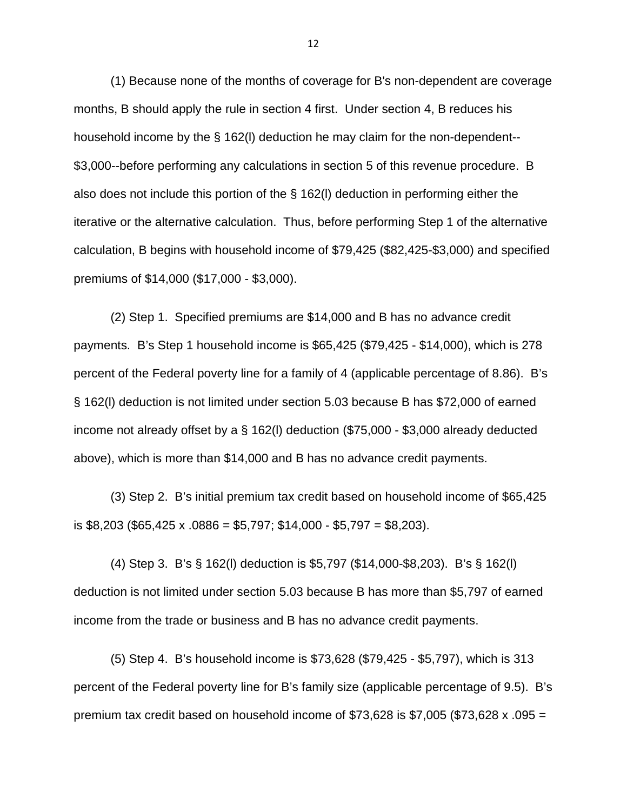(1) Because none of the months of coverage for B's non-dependent are coverage months, B should apply the rule in section 4 first. Under section 4, B reduces his household income by the § 162(l) deduction he may claim for the non-dependent-- \$3,000--before performing any calculations in section 5 of this revenue procedure. B also does not include this portion of the § 162(l) deduction in performing either the iterative or the alternative calculation. Thus, before performing Step 1 of the alternative calculation, B begins with household income of \$79,425 (\$82,425-\$3,000) and specified premiums of \$14,000 (\$17,000 - \$3,000).

(2) Step 1. Specified premiums are \$14,000 and B has no advance credit payments. B's Step 1 household income is \$65,425 (\$79,425 - \$14,000), which is 278 percent of the Federal poverty line for a family of 4 (applicable percentage of 8.86). B's § 162(l) deduction is not limited under section 5.03 because B has \$72,000 of earned income not already offset by a § 162(l) deduction (\$75,000 - \$3,000 already deducted above), which is more than \$14,000 and B has no advance credit payments.

(3) Step 2. B's initial premium tax credit based on household income of \$65,425 is \$8,203 (\$65,425 x .0886 = \$5,797; \$14,000 - \$5,797 = \$8,203).

(4) Step 3. B's § 162(l) deduction is \$5,797 (\$14,000-\$8,203). B's § 162(l) deduction is not limited under section 5.03 because B has more than \$5,797 of earned income from the trade or business and B has no advance credit payments.

(5) Step 4. B's household income is \$73,628 (\$79,425 - \$5,797), which is 313 percent of the Federal poverty line for B's family size (applicable percentage of 9.5). B's premium tax credit based on household income of  $$73,628$  is  $$7,005$  (\$73,628 x .095 =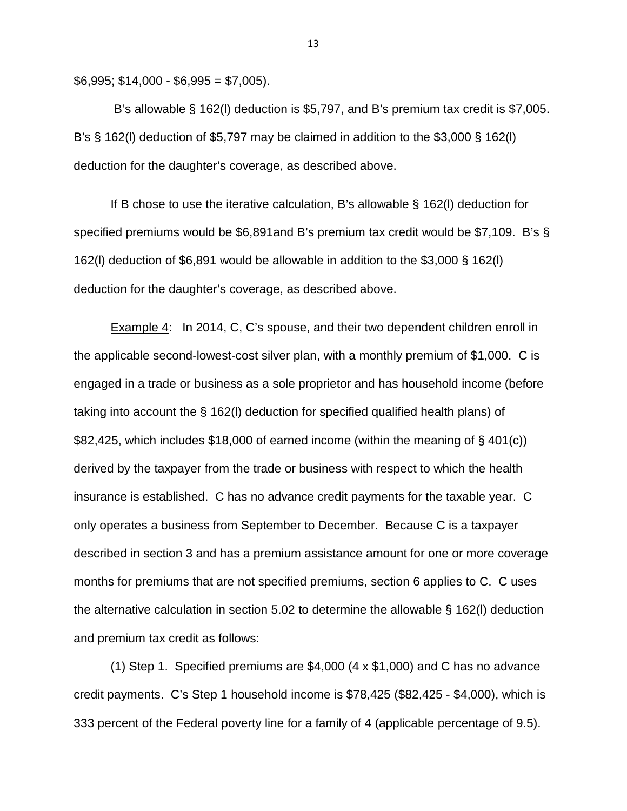$$6,995; $14,000 - $6,995 = $7,005$ ).

B's allowable § 162(l) deduction is \$5,797, and B's premium tax credit is \$7,005. B's § 162(l) deduction of \$5,797 may be claimed in addition to the \$3,000 § 162(l) deduction for the daughter's coverage, as described above.

If B chose to use the iterative calculation, B's allowable § 162(l) deduction for specified premiums would be \$6,891and B's premium tax credit would be \$7,109. B's § 162(l) deduction of \$6,891 would be allowable in addition to the \$3,000 § 162(l) deduction for the daughter's coverage, as described above.

Example 4: In 2014, C, C's spouse, and their two dependent children enroll in the applicable second-lowest-cost silver plan, with a monthly premium of \$1,000. C is engaged in a trade or business as a sole proprietor and has household income (before taking into account the § 162(l) deduction for specified qualified health plans) of \$82,425, which includes \$18,000 of earned income (within the meaning of § 401(c)) derived by the taxpayer from the trade or business with respect to which the health insurance is established. C has no advance credit payments for the taxable year. C only operates a business from September to December. Because C is a taxpayer described in section 3 and has a premium assistance amount for one or more coverage months for premiums that are not specified premiums, section 6 applies to C. C uses the alternative calculation in section 5.02 to determine the allowable § 162(l) deduction and premium tax credit as follows:

(1) Step 1. Specified premiums are \$4,000 (4 x \$1,000) and C has no advance credit payments. C's Step 1 household income is \$78,425 (\$82,425 - \$4,000), which is 333 percent of the Federal poverty line for a family of 4 (applicable percentage of 9.5).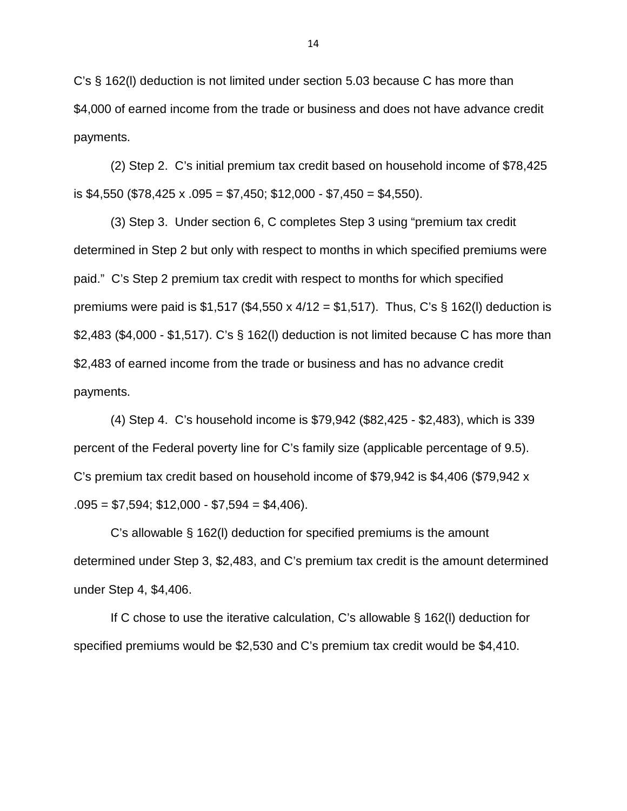C's § 162(l) deduction is not limited under section 5.03 because C has more than \$4,000 of earned income from the trade or business and does not have advance credit payments.

(2) Step 2. C's initial premium tax credit based on household income of \$78,425 is \$4,550 (\$78,425 x .095 = \$7,450; \$12,000 - \$7,450 = \$4,550).

(3) Step 3. Under section 6, C completes Step 3 using "premium tax credit determined in Step 2 but only with respect to months in which specified premiums were paid." C's Step 2 premium tax credit with respect to months for which specified premiums were paid is \$1,517 (\$4,550 x  $4/12 = $1,517$ ). Thus, C's § 162(I) deduction is \$2,483 (\$4,000 - \$1,517). C's § 162(I) deduction is not limited because C has more than \$2,483 of earned income from the trade or business and has no advance credit payments.

(4) Step 4. C's household income is \$79,942 (\$82,425 - \$2,483), which is 339 percent of the Federal poverty line for C's family size (applicable percentage of 9.5). C's premium tax credit based on household income of \$79,942 is \$4,406 (\$79,942 x  $.095 = $7,594; $12,000 - $7,594 = $4,406$ .

C's allowable § 162(l) deduction for specified premiums is the amount determined under Step 3, \$2,483, and C's premium tax credit is the amount determined under Step 4, \$4,406.

If C chose to use the iterative calculation, C's allowable § 162(l) deduction for specified premiums would be \$2,530 and C's premium tax credit would be \$4,410.